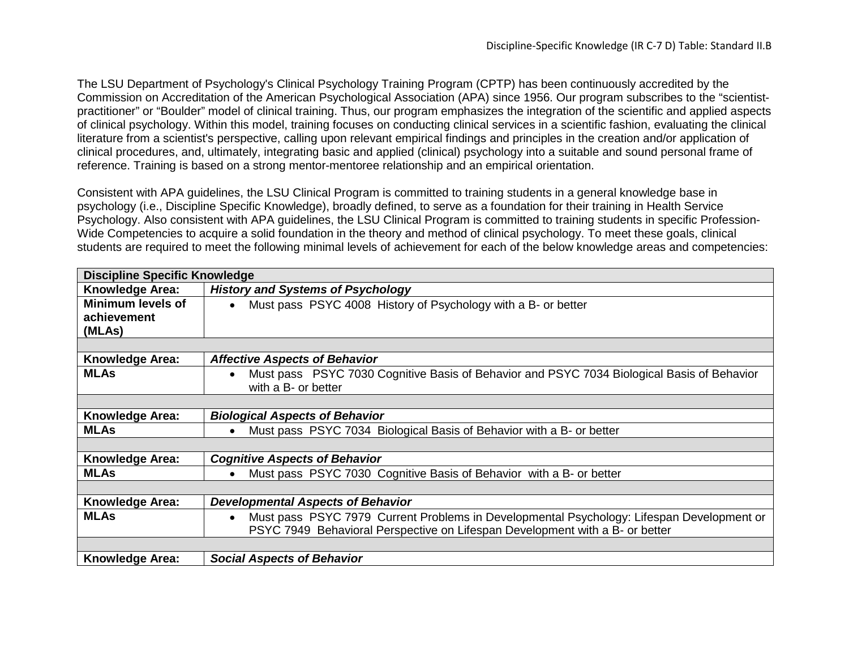The LSU Department of Psychology's Clinical Psychology Training Program (CPTP) has been continuously accredited by the Commission on Accreditation of the American Psychological Association (APA) since 1956. Our program subscribes to the "scientistpractitioner" or "Boulder" model of clinical training. Thus, our program emphasizes the integration of the scientific and applied aspects of clinical psychology. Within this model, training focuses on conducting clinical services in a scientific fashion, evaluating the clinical literature from a scientist's perspective, calling upon relevant empirical findings and principles in the creation and/or application of clinical procedures, and, ultimately, integrating basic and applied (clinical) psychology into a suitable and sound personal frame of reference. Training is based on a strong mentor-mentoree relationship and an empirical orientation.

Consistent with APA guidelines, the LSU Clinical Program is committed to training students in a general knowledge base in psychology (i.e., Discipline Specific Knowledge), broadly defined, to serve as a foundation for their training in Health Service Psychology. Also consistent with APA guidelines, the LSU Clinical Program is committed to training students in specific Profession-Wide Competencies to acquire a solid foundation in the theory and method of clinical psychology. To meet these goals, clinical students are required to meet the following minimal levels of achievement for each of the below knowledge areas and competencies:

| <b>Discipline Specific Knowledge</b> |                                                                                                        |  |
|--------------------------------------|--------------------------------------------------------------------------------------------------------|--|
| Knowledge Area:                      | <b>History and Systems of Psychology</b>                                                               |  |
| <b>Minimum levels of</b>             | Must pass PSYC 4008 History of Psychology with a B- or better<br>$\bullet$                             |  |
| achievement                          |                                                                                                        |  |
| (MLAs)                               |                                                                                                        |  |
|                                      |                                                                                                        |  |
| <b>Knowledge Area:</b>               | <b>Affective Aspects of Behavior</b>                                                                   |  |
| <b>MLAs</b>                          | Must pass PSYC 7030 Cognitive Basis of Behavior and PSYC 7034 Biological Basis of Behavior             |  |
|                                      | with a B- or better                                                                                    |  |
|                                      |                                                                                                        |  |
| <b>Knowledge Area:</b>               | <b>Biological Aspects of Behavior</b>                                                                  |  |
| <b>MLAs</b>                          | Must pass PSYC 7034 Biological Basis of Behavior with a B- or better                                   |  |
|                                      |                                                                                                        |  |
| <b>Knowledge Area:</b>               | <b>Cognitive Aspects of Behavior</b>                                                                   |  |
| <b>MLAs</b>                          | Must pass PSYC 7030 Cognitive Basis of Behavior with a B- or better                                    |  |
|                                      |                                                                                                        |  |
| <b>Knowledge Area:</b>               | <b>Developmental Aspects of Behavior</b>                                                               |  |
| <b>MLAs</b>                          | Must pass PSYC 7979 Current Problems in Developmental Psychology: Lifespan Development or<br>$\bullet$ |  |
|                                      | PSYC 7949 Behavioral Perspective on Lifespan Development with a B- or better                           |  |
|                                      |                                                                                                        |  |
| <b>Knowledge Area:</b>               | <b>Social Aspects of Behavior</b>                                                                      |  |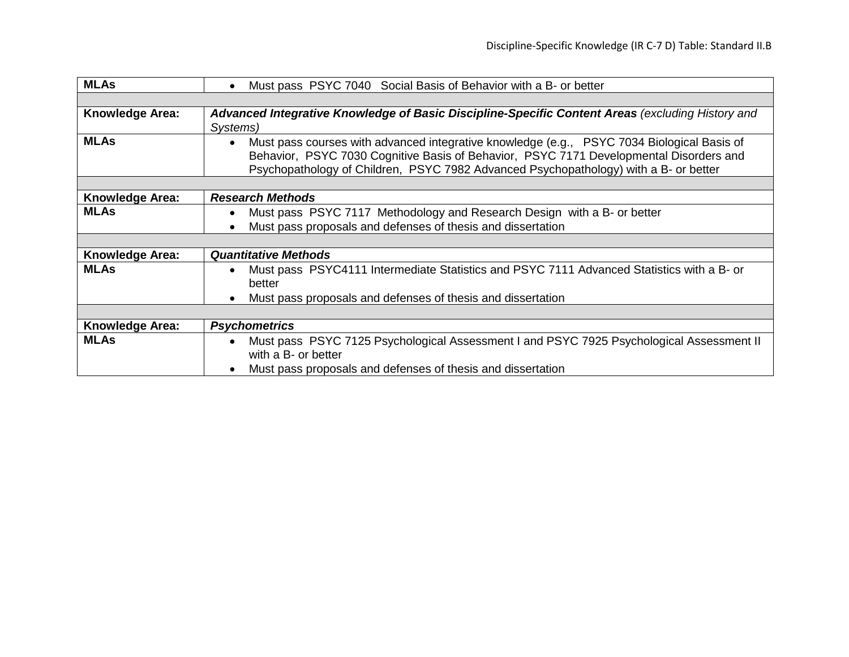| <b>MLAs</b>            | Must pass PSYC 7040 Social Basis of Behavior with a B- or better<br>$\bullet$                                                                                                                                                                                                             |
|------------------------|-------------------------------------------------------------------------------------------------------------------------------------------------------------------------------------------------------------------------------------------------------------------------------------------|
|                        |                                                                                                                                                                                                                                                                                           |
| <b>Knowledge Area:</b> | Advanced Integrative Knowledge of Basic Discipline-Specific Content Areas (excluding History and<br>Systems)                                                                                                                                                                              |
| <b>MLAs</b>            | Must pass courses with advanced integrative knowledge (e.g., PSYC 7034 Biological Basis of<br>$\bullet$<br>Behavior, PSYC 7030 Cognitive Basis of Behavior, PSYC 7171 Developmental Disorders and<br>Psychopathology of Children, PSYC 7982 Advanced Psychopathology) with a B- or better |
|                        |                                                                                                                                                                                                                                                                                           |
| <b>Knowledge Area:</b> | <b>Research Methods</b>                                                                                                                                                                                                                                                                   |
| <b>MLAs</b>            | Must pass PSYC 7117 Methodology and Research Design with a B- or better<br>$\bullet$                                                                                                                                                                                                      |
|                        | Must pass proposals and defenses of thesis and dissertation<br>$\bullet$                                                                                                                                                                                                                  |
|                        |                                                                                                                                                                                                                                                                                           |
| Knowledge Area:        | <b>Quantitative Methods</b>                                                                                                                                                                                                                                                               |
| <b>MLAs</b>            | Must pass PSYC4111 Intermediate Statistics and PSYC 7111 Advanced Statistics with a B- or<br>$\bullet$<br>better                                                                                                                                                                          |
|                        | Must pass proposals and defenses of thesis and dissertation<br>$\bullet$                                                                                                                                                                                                                  |
|                        |                                                                                                                                                                                                                                                                                           |
| <b>Knowledge Area:</b> | <b>Psychometrics</b>                                                                                                                                                                                                                                                                      |
| <b>MLAs</b>            | Must pass PSYC 7125 Psychological Assessment I and PSYC 7925 Psychological Assessment II<br>$\bullet$<br>with a B- or better                                                                                                                                                              |
|                        | Must pass proposals and defenses of thesis and dissertation<br>$\bullet$                                                                                                                                                                                                                  |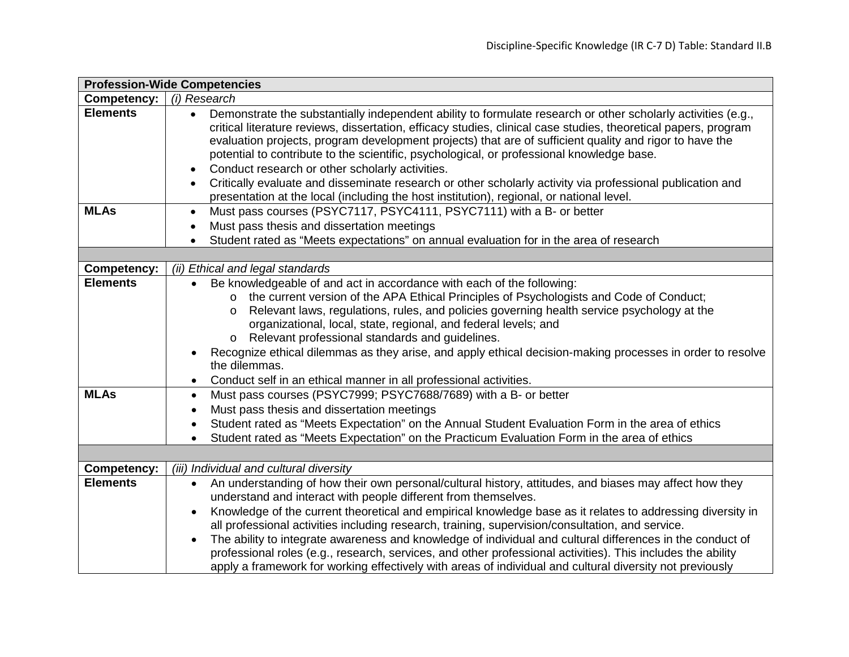| <b>Profession-Wide Competencies</b> |                                                                                                                                                                                                                                                                                                                                                                                                                                                                                                                                                                                                                                                                                                                                                                           |  |
|-------------------------------------|---------------------------------------------------------------------------------------------------------------------------------------------------------------------------------------------------------------------------------------------------------------------------------------------------------------------------------------------------------------------------------------------------------------------------------------------------------------------------------------------------------------------------------------------------------------------------------------------------------------------------------------------------------------------------------------------------------------------------------------------------------------------------|--|
| <b>Competency:</b>                  | (i) Research                                                                                                                                                                                                                                                                                                                                                                                                                                                                                                                                                                                                                                                                                                                                                              |  |
| <b>Elements</b>                     | Demonstrate the substantially independent ability to formulate research or other scholarly activities (e.g.,<br>$\bullet$<br>critical literature reviews, dissertation, efficacy studies, clinical case studies, theoretical papers, program<br>evaluation projects, program development projects) that are of sufficient quality and rigor to have the<br>potential to contribute to the scientific, psychological, or professional knowledge base.<br>Conduct research or other scholarly activities.<br>$\bullet$<br>Critically evaluate and disseminate research or other scholarly activity via professional publication and<br>presentation at the local (including the host institution), regional, or national level.                                             |  |
| <b>MLAs</b>                         | Must pass courses (PSYC7117, PSYC4111, PSYC7111) with a B- or better<br>$\bullet$                                                                                                                                                                                                                                                                                                                                                                                                                                                                                                                                                                                                                                                                                         |  |
|                                     | Must pass thesis and dissertation meetings<br>$\bullet$                                                                                                                                                                                                                                                                                                                                                                                                                                                                                                                                                                                                                                                                                                                   |  |
|                                     | Student rated as "Meets expectations" on annual evaluation for in the area of research<br>$\bullet$                                                                                                                                                                                                                                                                                                                                                                                                                                                                                                                                                                                                                                                                       |  |
|                                     |                                                                                                                                                                                                                                                                                                                                                                                                                                                                                                                                                                                                                                                                                                                                                                           |  |
| <b>Competency:</b>                  | (ii) Ethical and legal standards                                                                                                                                                                                                                                                                                                                                                                                                                                                                                                                                                                                                                                                                                                                                          |  |
| <b>Elements</b>                     | Be knowledgeable of and act in accordance with each of the following:<br>o the current version of the APA Ethical Principles of Psychologists and Code of Conduct;<br>Relevant laws, regulations, rules, and policies governing health service psychology at the<br>$\circ$<br>organizational, local, state, regional, and federal levels; and<br>o Relevant professional standards and guidelines.<br>Recognize ethical dilemmas as they arise, and apply ethical decision-making processes in order to resolve<br>$\bullet$<br>the dilemmas.<br>Conduct self in an ethical manner in all professional activities.<br>$\bullet$                                                                                                                                          |  |
| <b>MLAs</b>                         | Must pass courses (PSYC7999; PSYC7688/7689) with a B- or better<br>$\bullet$<br>Must pass thesis and dissertation meetings<br>$\bullet$<br>Student rated as "Meets Expectation" on the Annual Student Evaluation Form in the area of ethics<br>$\bullet$                                                                                                                                                                                                                                                                                                                                                                                                                                                                                                                  |  |
|                                     | Student rated as "Meets Expectation" on the Practicum Evaluation Form in the area of ethics<br>$\bullet$                                                                                                                                                                                                                                                                                                                                                                                                                                                                                                                                                                                                                                                                  |  |
|                                     |                                                                                                                                                                                                                                                                                                                                                                                                                                                                                                                                                                                                                                                                                                                                                                           |  |
| <b>Competency:</b>                  | (iii) Individual and cultural diversity                                                                                                                                                                                                                                                                                                                                                                                                                                                                                                                                                                                                                                                                                                                                   |  |
| <b>Elements</b>                     | An understanding of how their own personal/cultural history, attitudes, and biases may affect how they<br>$\bullet$<br>understand and interact with people different from themselves.<br>Knowledge of the current theoretical and empirical knowledge base as it relates to addressing diversity in<br>$\bullet$<br>all professional activities including research, training, supervision/consultation, and service.<br>The ability to integrate awareness and knowledge of individual and cultural differences in the conduct of<br>$\bullet$<br>professional roles (e.g., research, services, and other professional activities). This includes the ability<br>apply a framework for working effectively with areas of individual and cultural diversity not previously |  |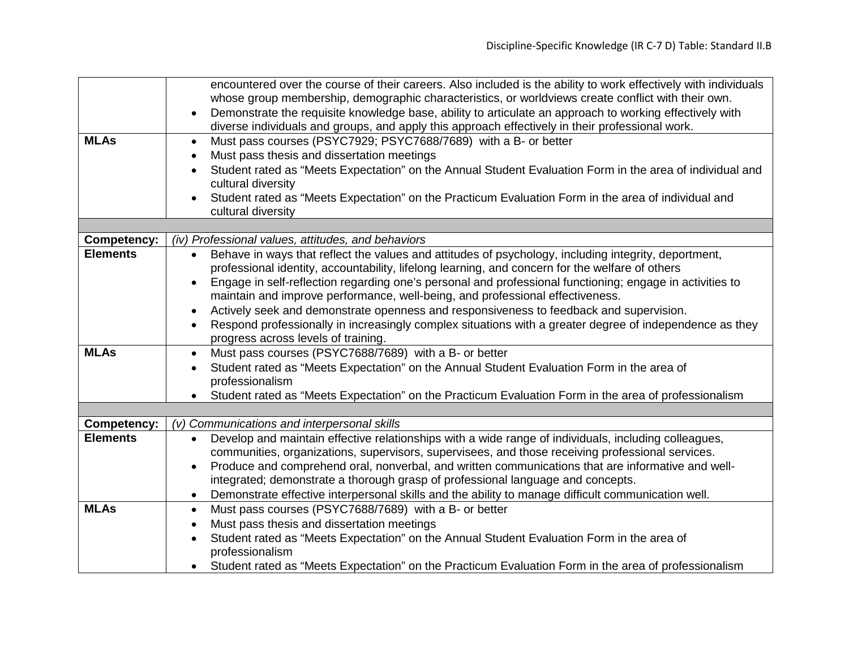|                    | encountered over the course of their careers. Also included is the ability to work effectively with individuals                                                                                                         |
|--------------------|-------------------------------------------------------------------------------------------------------------------------------------------------------------------------------------------------------------------------|
|                    | whose group membership, demographic characteristics, or worldviews create conflict with their own.                                                                                                                      |
|                    | Demonstrate the requisite knowledge base, ability to articulate an approach to working effectively with<br>$\bullet$<br>diverse individuals and groups, and apply this approach effectively in their professional work. |
| <b>MLAs</b>        | Must pass courses (PSYC7929; PSYC7688/7689) with a B- or better<br>$\bullet$                                                                                                                                            |
|                    | Must pass thesis and dissertation meetings<br>$\bullet$                                                                                                                                                                 |
|                    | Student rated as "Meets Expectation" on the Annual Student Evaluation Form in the area of individual and                                                                                                                |
|                    | cultural diversity                                                                                                                                                                                                      |
|                    | Student rated as "Meets Expectation" on the Practicum Evaluation Form in the area of individual and                                                                                                                     |
|                    | cultural diversity                                                                                                                                                                                                      |
|                    |                                                                                                                                                                                                                         |
| <b>Competency:</b> | (iv) Professional values, attitudes, and behaviors                                                                                                                                                                      |
| <b>Elements</b>    | Behave in ways that reflect the values and attitudes of psychology, including integrity, deportment,<br>$\bullet$<br>professional identity, accountability, lifelong learning, and concern for the welfare of others    |
|                    | Engage in self-reflection regarding one's personal and professional functioning; engage in activities to<br>$\bullet$                                                                                                   |
|                    | maintain and improve performance, well-being, and professional effectiveness.                                                                                                                                           |
|                    | Actively seek and demonstrate openness and responsiveness to feedback and supervision.<br>$\bullet$                                                                                                                     |
|                    | Respond professionally in increasingly complex situations with a greater degree of independence as they<br>$\bullet$                                                                                                    |
|                    | progress across levels of training.                                                                                                                                                                                     |
| <b>MLAs</b>        | Must pass courses (PSYC7688/7689) with a B- or better<br>$\bullet$                                                                                                                                                      |
|                    | Student rated as "Meets Expectation" on the Annual Student Evaluation Form in the area of<br>$\bullet$                                                                                                                  |
|                    | professionalism                                                                                                                                                                                                         |
|                    | Student rated as "Meets Expectation" on the Practicum Evaluation Form in the area of professionalism                                                                                                                    |
|                    |                                                                                                                                                                                                                         |
| <b>Competency:</b> | (v) Communications and interpersonal skills                                                                                                                                                                             |
| <b>Elements</b>    | Develop and maintain effective relationships with a wide range of individuals, including colleagues,<br>$\bullet$                                                                                                       |
|                    | communities, organizations, supervisors, supervisees, and those receiving professional services.                                                                                                                        |
|                    | Produce and comprehend oral, nonverbal, and written communications that are informative and well-<br>$\bullet$                                                                                                          |
|                    | integrated; demonstrate a thorough grasp of professional language and concepts.                                                                                                                                         |
| <b>MLAs</b>        | Demonstrate effective interpersonal skills and the ability to manage difficult communication well.                                                                                                                      |
|                    | Must pass courses (PSYC7688/7689) with a B- or better<br>$\bullet$                                                                                                                                                      |
|                    | Must pass thesis and dissertation meetings<br>$\bullet$                                                                                                                                                                 |
|                    | Student rated as "Meets Expectation" on the Annual Student Evaluation Form in the area of<br>$\bullet$<br>professionalism                                                                                               |
|                    | Student rated as "Meets Expectation" on the Practicum Evaluation Form in the area of professionalism                                                                                                                    |
|                    | $\bullet$                                                                                                                                                                                                               |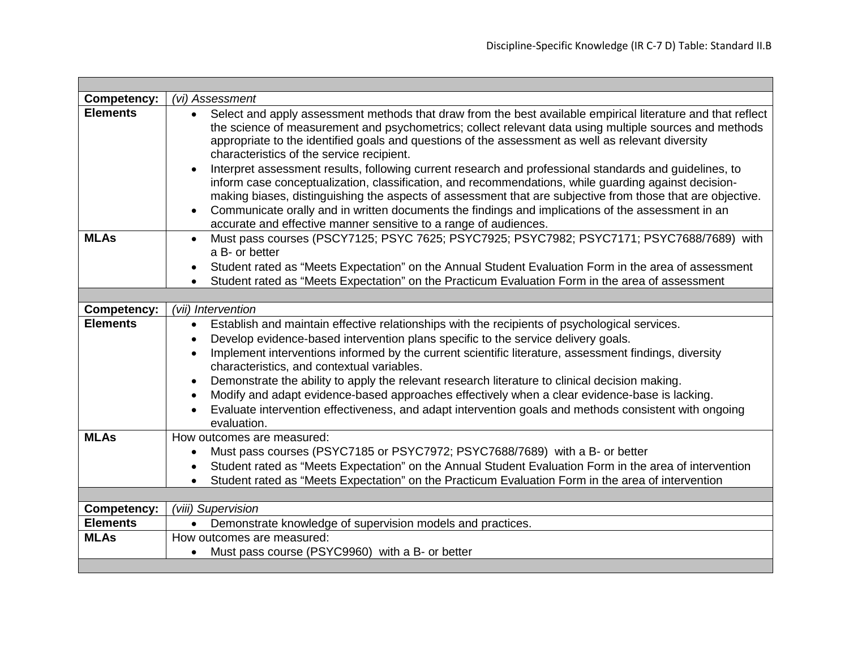| <b>Competency:</b> | (vi) Assessment                                                                                                                                                                                                                                                                                                                                                                                                                                                                                                                                                                                                                                                                                                                                                                                                                                                                                            |
|--------------------|------------------------------------------------------------------------------------------------------------------------------------------------------------------------------------------------------------------------------------------------------------------------------------------------------------------------------------------------------------------------------------------------------------------------------------------------------------------------------------------------------------------------------------------------------------------------------------------------------------------------------------------------------------------------------------------------------------------------------------------------------------------------------------------------------------------------------------------------------------------------------------------------------------|
| <b>Elements</b>    | Select and apply assessment methods that draw from the best available empirical literature and that reflect<br>the science of measurement and psychometrics; collect relevant data using multiple sources and methods<br>appropriate to the identified goals and questions of the assessment as well as relevant diversity<br>characteristics of the service recipient.<br>Interpret assessment results, following current research and professional standards and guidelines, to<br>$\bullet$<br>inform case conceptualization, classification, and recommendations, while guarding against decision-<br>making biases, distinguishing the aspects of assessment that are subjective from those that are objective.<br>Communicate orally and in written documents the findings and implications of the assessment in an<br>$\bullet$<br>accurate and effective manner sensitive to a range of audiences. |
| <b>MLAs</b>        | Must pass courses (PSCY7125; PSYC 7625; PSYC7925; PSYC7982; PSYC7171; PSYC7688/7689) with<br>a B- or better<br>Student rated as "Meets Expectation" on the Annual Student Evaluation Form in the area of assessment                                                                                                                                                                                                                                                                                                                                                                                                                                                                                                                                                                                                                                                                                        |
|                    | Student rated as "Meets Expectation" on the Practicum Evaluation Form in the area of assessment<br>$\bullet$                                                                                                                                                                                                                                                                                                                                                                                                                                                                                                                                                                                                                                                                                                                                                                                               |
|                    |                                                                                                                                                                                                                                                                                                                                                                                                                                                                                                                                                                                                                                                                                                                                                                                                                                                                                                            |
| <b>Competency:</b> | (vii) Intervention                                                                                                                                                                                                                                                                                                                                                                                                                                                                                                                                                                                                                                                                                                                                                                                                                                                                                         |
| <b>Elements</b>    | Establish and maintain effective relationships with the recipients of psychological services.<br>$\bullet$                                                                                                                                                                                                                                                                                                                                                                                                                                                                                                                                                                                                                                                                                                                                                                                                 |
|                    | Develop evidence-based intervention plans specific to the service delivery goals.<br>$\bullet$                                                                                                                                                                                                                                                                                                                                                                                                                                                                                                                                                                                                                                                                                                                                                                                                             |
|                    | Implement interventions informed by the current scientific literature, assessment findings, diversity<br>$\bullet$                                                                                                                                                                                                                                                                                                                                                                                                                                                                                                                                                                                                                                                                                                                                                                                         |
|                    | characteristics, and contextual variables.                                                                                                                                                                                                                                                                                                                                                                                                                                                                                                                                                                                                                                                                                                                                                                                                                                                                 |
|                    | Demonstrate the ability to apply the relevant research literature to clinical decision making.                                                                                                                                                                                                                                                                                                                                                                                                                                                                                                                                                                                                                                                                                                                                                                                                             |
|                    | Modify and adapt evidence-based approaches effectively when a clear evidence-base is lacking.<br>$\bullet$                                                                                                                                                                                                                                                                                                                                                                                                                                                                                                                                                                                                                                                                                                                                                                                                 |
|                    | Evaluate intervention effectiveness, and adapt intervention goals and methods consistent with ongoing<br>evaluation.                                                                                                                                                                                                                                                                                                                                                                                                                                                                                                                                                                                                                                                                                                                                                                                       |
| <b>MLAs</b>        | How outcomes are measured:                                                                                                                                                                                                                                                                                                                                                                                                                                                                                                                                                                                                                                                                                                                                                                                                                                                                                 |
|                    | Must pass courses (PSYC7185 or PSYC7972; PSYC7688/7689) with a B- or better<br>$\bullet$                                                                                                                                                                                                                                                                                                                                                                                                                                                                                                                                                                                                                                                                                                                                                                                                                   |
|                    | Student rated as "Meets Expectation" on the Annual Student Evaluation Form in the area of intervention<br>$\bullet$                                                                                                                                                                                                                                                                                                                                                                                                                                                                                                                                                                                                                                                                                                                                                                                        |
|                    | Student rated as "Meets Expectation" on the Practicum Evaluation Form in the area of intervention<br>$\bullet$                                                                                                                                                                                                                                                                                                                                                                                                                                                                                                                                                                                                                                                                                                                                                                                             |
|                    |                                                                                                                                                                                                                                                                                                                                                                                                                                                                                                                                                                                                                                                                                                                                                                                                                                                                                                            |
| <b>Competency:</b> | (viii) Supervision                                                                                                                                                                                                                                                                                                                                                                                                                                                                                                                                                                                                                                                                                                                                                                                                                                                                                         |
| <b>Elements</b>    | Demonstrate knowledge of supervision models and practices.<br>$\bullet$                                                                                                                                                                                                                                                                                                                                                                                                                                                                                                                                                                                                                                                                                                                                                                                                                                    |
| <b>MLAs</b>        | How outcomes are measured:                                                                                                                                                                                                                                                                                                                                                                                                                                                                                                                                                                                                                                                                                                                                                                                                                                                                                 |
|                    | Must pass course (PSYC9960) with a B- or better<br>$\bullet$                                                                                                                                                                                                                                                                                                                                                                                                                                                                                                                                                                                                                                                                                                                                                                                                                                               |
|                    |                                                                                                                                                                                                                                                                                                                                                                                                                                                                                                                                                                                                                                                                                                                                                                                                                                                                                                            |